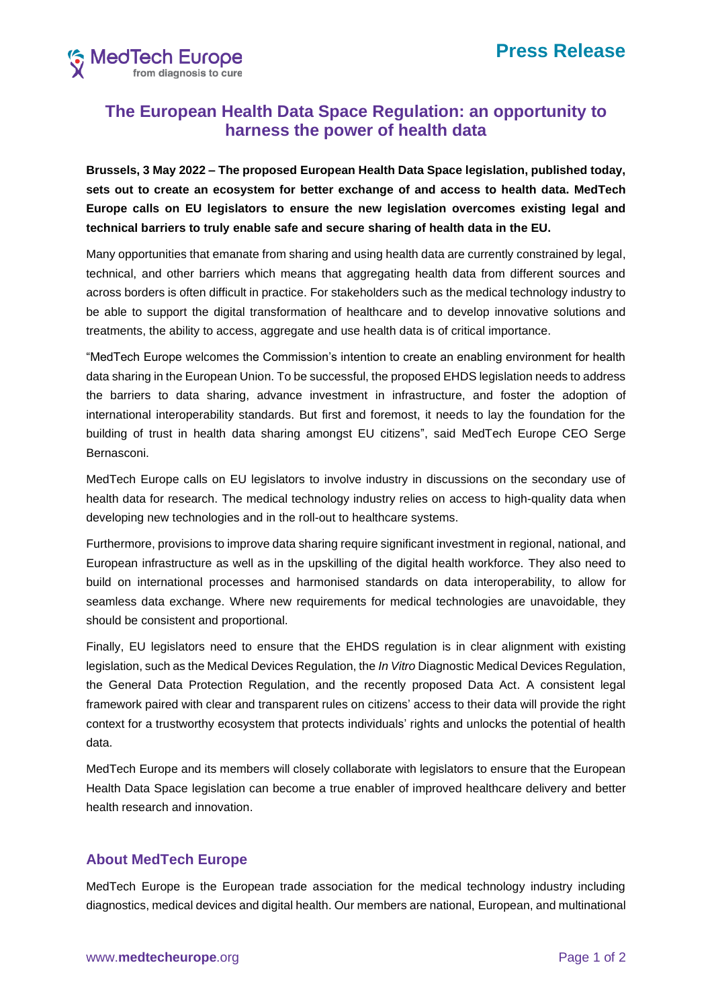

## **The European Health Data Space Regulation: an opportunity to harness the power of health data**

**Brussels, 3 May 2022 – The proposed European Health Data Space legislation, published today, sets out to create an ecosystem for better exchange of and access to health data. MedTech Europe calls on EU legislators to ensure the new legislation overcomes existing legal and technical barriers to truly enable safe and secure sharing of health data in the EU.**

Many opportunities that emanate from sharing and using health data are currently constrained by legal, technical, and other barriers which means that aggregating health data from different sources and across borders is often difficult in practice. For stakeholders such as the medical technology industry to be able to support the digital transformation of healthcare and to develop innovative solutions and treatments, the ability to access, aggregate and use health data is of critical importance.

"MedTech Europe welcomes the Commission's intention to create an enabling environment for health data sharing in the European Union. To be successful, the proposed EHDS legislation needs to address the barriers to data sharing, advance investment in infrastructure, and foster the adoption of international interoperability standards. But first and foremost, it needs to lay the foundation for the building of trust in health data sharing amongst EU citizens", said MedTech Europe CEO Serge Bernasconi.

MedTech Europe calls on EU legislators to involve industry in discussions on the secondary use of health data for research. The medical technology industry relies on access to high-quality data when developing new technologies and in the roll-out to healthcare systems.

Furthermore, provisions to improve data sharing require significant investment in regional, national, and European infrastructure as well as in the upskilling of the digital health workforce. They also need to build on international processes and harmonised standards on data interoperability, to allow for seamless data exchange. Where new requirements for medical technologies are unavoidable, they should be consistent and proportional.

Finally, EU legislators need to ensure that the EHDS regulation is in clear alignment with existing legislation, such as the Medical Devices Regulation, the *In Vitro* Diagnostic Medical Devices Regulation, the General Data Protection Regulation, and the recently proposed Data Act. A consistent legal framework paired with clear and transparent rules on citizens' access to their data will provide the right context for a trustworthy ecosystem that protects individuals' rights and unlocks the potential of health data.

MedTech Europe and its members will closely collaborate with legislators to ensure that the European Health Data Space legislation can become a true enabler of improved healthcare delivery and better health research and innovation.

## **About MedTech Europe**

MedTech Europe is the European trade association for the medical technology industry including diagnostics, medical devices and digital health. Our members are national, European, and multinational